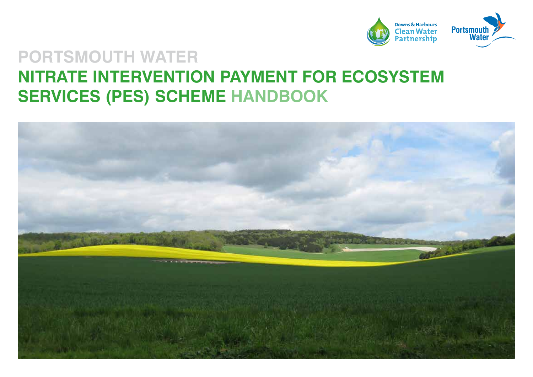

### **PORTSMOUTH WATER NITRATE INTERVENTION PAYMENT FOR ECOSYSTEM SERVICES (PES) SCHEME HANDBOOK**

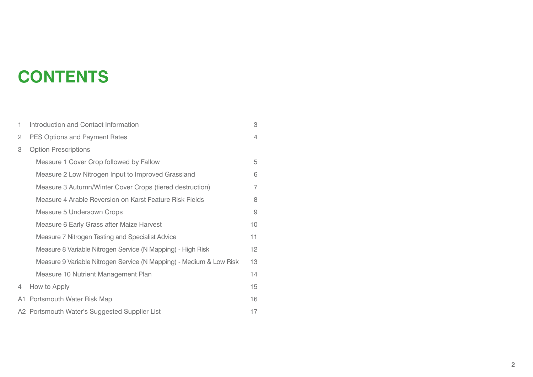# **CONTENTS**

| 1                     | Introduction and Contact Information                                | 3              |
|-----------------------|---------------------------------------------------------------------|----------------|
| $\mathbf{2}^{\prime}$ | PES Options and Payment Rates                                       | 4              |
| 3                     | <b>Option Prescriptions</b>                                         |                |
|                       | Measure 1 Cover Crop followed by Fallow                             | 5              |
|                       | Measure 2 Low Nitrogen Input to Improved Grassland                  | 6              |
|                       | Measure 3 Autumn/Winter Cover Crops (tiered destruction)            | 7              |
|                       | Measure 4 Arable Reversion on Karst Feature Risk Fields             | 8              |
|                       | Measure 5 Undersown Crops                                           | $\overline{9}$ |
|                       | Measure 6 Early Grass after Maize Harvest                           | 10             |
|                       | Measure 7 Nitrogen Testing and Specialist Advice                    | 11             |
|                       | Measure 8 Variable Nitrogen Service (N Mapping) - High Risk         | 12             |
|                       | Measure 9 Variable Nitrogen Service (N Mapping) - Medium & Low Risk | 13             |
|                       | Measure 10 Nutrient Management Plan                                 | 14             |
| 4                     | How to Apply                                                        | 15             |
|                       | A1 Portsmouth Water Risk Map                                        | 16             |
|                       | A2 Portsmouth Water's Suggested Supplier List                       | 17             |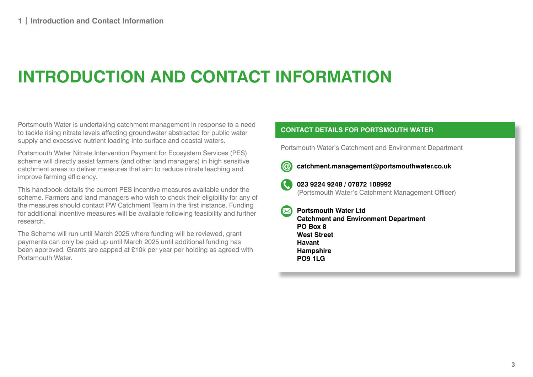# **INTRODUCTION AND CONTACT INFORMATION**

Portsmouth Water is undertaking catchment management in response to a need to tackle rising nitrate levels affecting groundwater abstracted for public water supply and excessive nutrient loading into surface and coastal waters.

Portsmouth Water Nitrate Intervention Payment for Ecosystem Services (PES) scheme will directly assist farmers (and other land managers) in high sensitive catchment areas to deliver measures that aim to reduce nitrate leaching and improve farming efficiency.

This handbook details the current PES incentive measures available under the scheme. Farmers and land managers who wish to check their eligibility for any of the measures should contact PW Catchment Team in the first instance. Funding for additional incentive measures will be available following feasibility and further research.

The Scheme will run until March 2025 where funding will be reviewed, grant payments can only be paid up until March 2025 until additional funding has been approved. Grants are capped at £10k per year per holding as agreed with Portsmouth Water.

#### **CONTACT DETAILS FOR PORTSMOUTH WATER**

Portsmouth Water's Catchment and Environment Department



**catchment.management@portsmouthwater.co.uk**



**023 9224 9248 / 07872 108992** (Portsmouth Water's Catchment Management Officer)

**Portsmouth Water Ltd Catchment and Environment Department PO Box 8 West Street Havant Hampshire PO9 1LG**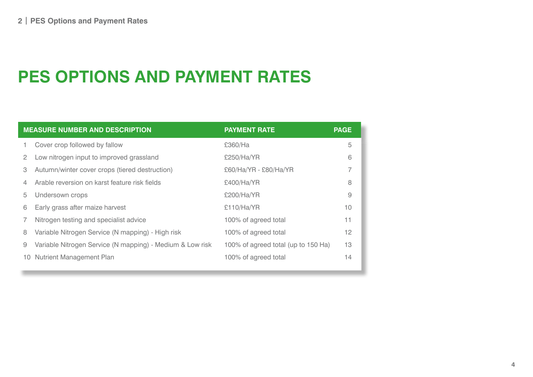# **PES OPTIONS AND PAYMENT RATES**

| <b>MEASURE NUMBER AND DESCRIPTION</b> |                                                           | <b>PAYMENT RATE</b>                 | <b>PAGE</b> |
|---------------------------------------|-----------------------------------------------------------|-------------------------------------|-------------|
|                                       | Cover crop followed by fallow                             | £360/Ha                             | 5           |
| 2                                     | Low nitrogen input to improved grassland                  | £250/Ha/YR                          | 6           |
| 3                                     | Autumn/winter cover crops (tiered destruction)            | £60/Ha/YR - £80/Ha/YR               |             |
| 4                                     | Arable reversion on karst feature risk fields             | £400/Ha/YR                          | 8           |
| 5                                     | Undersown crops                                           | £200/Ha/YR                          | 9           |
| 6                                     | Early grass after maize harvest                           | £110/Ha/YR                          | 10          |
|                                       | Nitrogen testing and specialist advice                    | 100% of agreed total                | 11          |
| 8                                     | Variable Nitrogen Service (N mapping) - High risk         | 100% of agreed total                | 12          |
| 9                                     | Variable Nitrogen Service (N mapping) - Medium & Low risk | 100% of agreed total (up to 150 Ha) | 13          |
| 10                                    | <b>Nutrient Management Plan</b>                           | 100% of agreed total                | 14          |
|                                       |                                                           |                                     |             |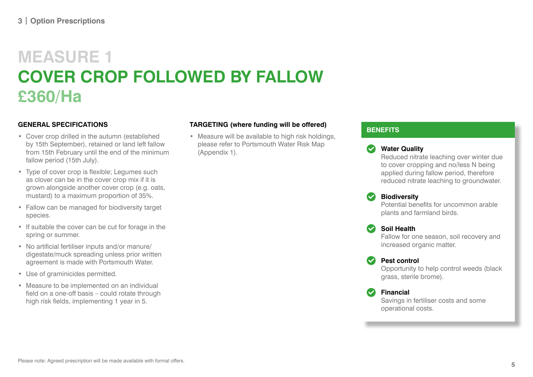# **MEASURE 1 COVER CROP FOLLOWED BY FALLOW £360/Ha**

### **GENERAL SPECIFICATIONS**

- Cover crop drilled in the autumn (established by 15th September), retained or land left fallow from 15th February until the end of the minimum fallow period (15th July).
- Type of cover crop is flexible; Legumes such as clover can be in the cover crop mix if it is grown alongside another cover crop (e.g. oats, mustard) to a maximum proportion of 35%.
- Fallow can be managed for biodiversity target species.
- If suitable the cover can be cut for forage in the spring or summer.
- No artificial fertiliser inputs and/or manure/ digestate/muck spreading unless prior written agreement is made with Portsmouth Water.
- Use of graminicides permitted.
- Measure to be implemented on an individual field on a one-off basis – could rotate through high risk fields, implementing 1 year in 5.

### **TARGETING (where funding will be offered)**

• Measure will be available to high risk holdings, please refer to Portsmouth Water Risk Map (Appendix 1).

### **BENEFITS**

### **Water Quality**

Reduced nitrate leaching over winter due to cover cropping and no/less N being applied during fallow period, therefore reduced nitrate leaching to groundwater.

### **Biodiversity**

Potential benefits for uncommon arable plants and farmland birds.

### **Soil Health**

Fallow for one season, soil recovery and increased organic matter.

### **Pest control**

Opportunity to help control weeds (black grass, sterile brome).

### **Financial**

Savings in fertiliser costs and some operational costs.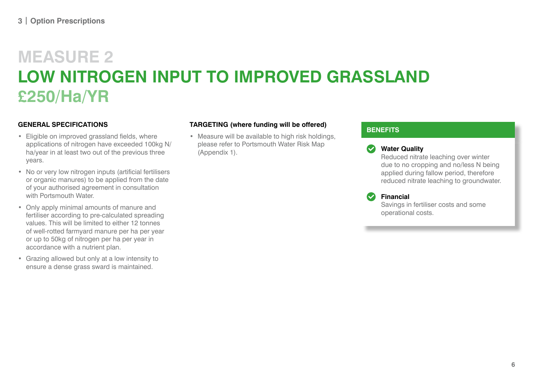# **MEASURE 2 LOW NITROGEN INPUT TO IMPROVED GRASSLAND £250/Ha/YR**

### **GENERAL SPECIFICATIONS**

- Eligible on improved grassland fields, where applications of nitrogen have exceeded 100kg N/ ha/year in at least two out of the previous three years.
- No or very low nitrogen inputs (artificial fertilisers or organic manures) to be applied from the date of your authorised agreement in consultation with Portsmouth Water
- Only apply minimal amounts of manure and fertiliser according to pre-calculated spreading values. This will be limited to either 12 tonnes of well-rotted farmyard manure per ha per year or up to 50kg of nitrogen per ha per year in accordance with a nutrient plan.
- Grazing allowed but only at a low intensity to ensure a dense grass sward is maintained.

### **TARGETING (where funding will be offered)**

• Measure will be available to high risk holdings, please refer to Portsmouth Water Risk Map (Appendix 1).

### **BENEFITS**

### **Water Quality**

Reduced nitrate leaching over winter due to no cropping and no/less N being applied during fallow period, therefore reduced nitrate leaching to groundwater.

**Financial**

Savings in fertiliser costs and some operational costs.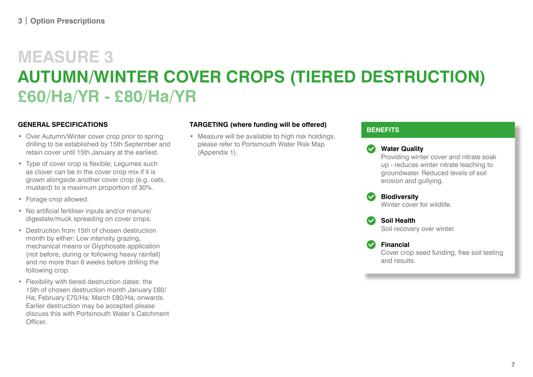# **MEASURE 3 AUTUMN/WINTER COVER CROPS (TIERED DESTRUCTION) £60/Ha/YR - £80/Ha/YR**

### **GENERAL SPECIFICATIONS**

- Over Autumn/Winter cover crop prior to spring drilling to be established by 15th September and retain cover until 15th January at the earliest.
- Type of cover crop is flexible; Legumes such as clover can be in the cover crop mix if it is grown alongside another cover crop (e.g. oats, mustard) to a maximum proportion of 30%.
- Forage crop allowed.
- No artificial fertiliser inputs and/or manure/ digestate/muck spreading on cover crops.
- Destruction from 15th of chosen destruction month by either: Low intensity grazing, mechanical means or Glyphosate application (not before, during or following heavy rainfall) and no more than 6 weeks before drilling the following crop.
- Flexibility with tiered destruction dates: the 15th of chosen destruction month January £60/ Ha; February £70/Ha; March £80/Ha; onwards. Earlier destruction may be accepted please discuss this with Portsmouth Water's Catchment Officer.

### **TARGETING (where funding will be offered)**

• Measure will be available to high risk holdings, please refer to Portsmouth Water Risk Map (Appendix 1).

#### **BENEFITS**

**Water Quality** Providing winter cover and nitrate soak up - reduces winter nitrate leaching to groundwater. Reduced levels of soil erosion and gullying.

**Biodiversity** Winter cover for wildlife.

**Soil Health** Soil recovery over winter.

**Financial** Cover crop seed funding, free soil testing and results.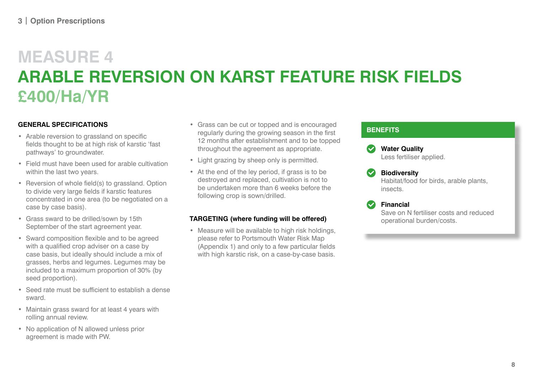# **MEASURE 4 ARABLE REVERSION ON KARST FEATURE RISK FIELDS £400/Ha/YR**

### **GENERAL SPECIFICATIONS**

- Arable reversion to grassland on specific fields thought to be at high risk of karstic 'fast pathways' to groundwater.
- Field must have been used for arable cultivation within the last two years.
- Reversion of whole field(s) to grassland. Option to divide very large fields if karstic features concentrated in one area (to be negotiated on a case by case basis).
- Grass sward to be drilled/sown by 15th September of the start agreement year.
- Sward composition flexible and to be agreed with a qualified crop adviser on a case by case basis, but ideally should include a mix of grasses, herbs and legumes. Legumes may be included to a maximum proportion of 30% (by seed proportion).
- Seed rate must be sufficient to establish a dense sward.
- Maintain grass sward for at least 4 years with rolling annual review.
- No application of N allowed unless prior agreement is made with PW.
- Grass can be cut or topped and is encouraged regularly during the growing season in the first 12 months after establishment and to be topped throughout the agreement as appropriate.
- Light grazing by sheep only is permitted.
- At the end of the ley period, if grass is to be destroyed and replaced, cultivation is not to be undertaken more than 6 weeks before the following crop is sown/drilled.

### **TARGETING (where funding will be offered)**

• Measure will be available to high risk holdings, please refer to Portsmouth Water Risk Map (Appendix 1) and only to a few particular fields with high karstic risk, on a case-by-case basis.





Habitat/food for birds, arable plants, insects.

### **Financial**

Save on N fertiliser costs and reduced operational burden/costs.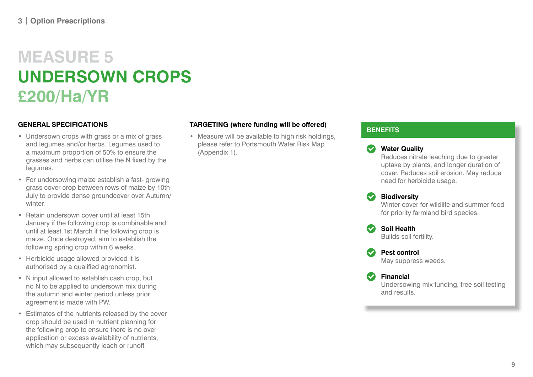### **MEASURE 5 UNDERSOWN CROPS £200/Ha/YR**

### **GENERAL SPECIFICATIONS**

- Undersown crops with grass or a mix of grass and legumes and/or herbs. Legumes used to a maximum proportion of 50% to ensure the grasses and herbs can utilise the N fixed by the legumes.
- For undersowing maize establish a fast- growing grass cover crop between rows of maize by 10th July to provide dense groundcover over Autumn/ winter.
- Retain undersown cover until at least 15th January if the following crop is combinable and until at least 1st March if the following crop is maize. Once destroyed, aim to establish the following spring crop within 6 weeks.
- Herbicide usage allowed provided it is authorised by a qualified agronomist.
- N input allowed to establish cash crop, but no N to be applied to undersown mix during the autumn and winter period unless prior agreement is made with PW.
- Estimates of the nutrients released by the cover crop should be used in nutrient planning for the following crop to ensure there is no over application or excess availability of nutrients, which may subsequently leach or runoff.

### **TARGETING (where funding will be offered)**

• Measure will be available to high risk holdings, please refer to Portsmouth Water Risk Map (Appendix 1).

### **BENEFITS**

### **Water Quality**

Reduces nitrate leaching due to greater uptake by plants, and longer duration of cover. Reduces soil erosion. May reduce need for herbicide usage.

### **Biodiversity**

Winter cover for wildlife and summer food for priority farmland bird species.

**Soil Health** Builds soil fertility.

and results.

**Pest control** May suppress weeds.

**Financial** Undersowing mix funding, free soil testing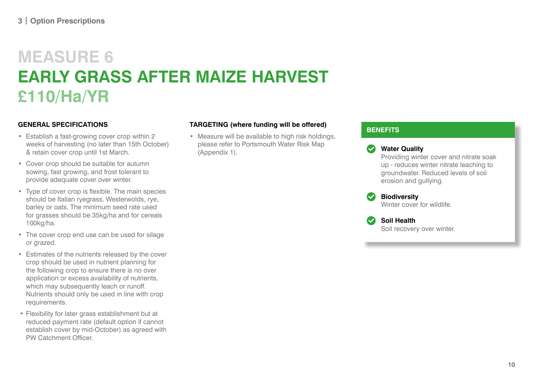# **MEASURE 6 EARLY GRASS AFTER MAIZE HARVEST £110/Ha/YR**

### **GENERAL SPECIFICATIONS**

- Establish a fast-growing cover crop within 2 weeks of harvesting (no later than 15th October) & retain cover crop until 1st March.
- Cover crop should be suitable for autumn sowing, fast growing, and frost tolerant to provide adequate cover over winter.
- Type of cover crop is flexible. The main species should be Italian ryegrass, Westerwolds, rye, barley or oats. The minimum seed rate used for grasses should be 35kg/ha and for cereals 100kg/ha.
- The cover crop end use can be used for silage or grazed.
- Estimates of the nutrients released by the cover crop should be used in nutrient planning for the following crop to ensure there is no over application or excess availability of nutrients, which may subsequently leach or runoff. Nutrients should only be used in line with crop requirements.
- Flexibility for later grass establishment but at reduced payment rate (default option if cannot establish cover by mid-October) as agreed with PW Catchment Officer.

### **TARGETING (where funding will be offered)**

• Measure will be available to high risk holdings, please refer to Portsmouth Water Risk Map (Appendix 1).

### **BENEFITS**

erosion and gullying. **Biodiversity**

Providing winter cover and nitrate soak up - reduces winter nitrate leaching to groundwater. Reduced levels of soil

**Water Quality**

Winter cover for wildlife

**Soil Health** Soil recovery over winter.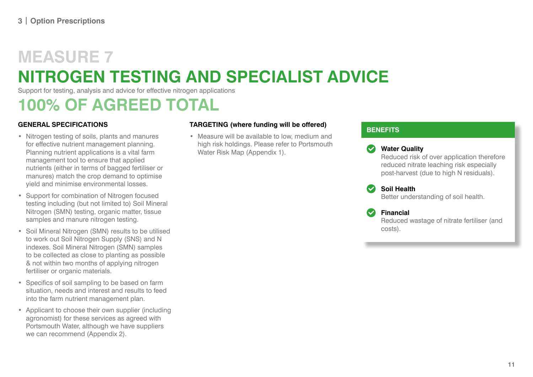# **MEASURE 7 NITROGEN TESTING AND SPECIALIST ADVICE**

Support for testing, analysis and advice for effective nitrogen applications

### **100% OF AGREED TOTAL**

### **GENERAL SPECIFICATIONS**

- Nitrogen testing of soils, plants and manures for effective nutrient management planning. Planning nutrient applications is a vital farm management tool to ensure that applied nutrients (either in terms of bagged fertiliser or manures) match the crop demand to optimise yield and minimise environmental losses.
- Support for combination of Nitrogen focused testing including (but not limited to) Soil Mineral Nitrogen (SMN) testing, organic matter, tissue samples and manure nitrogen testing.
- Soil Mineral Nitrogen (SMN) results to be utilised to work out Soil Nitrogen Supply (SNS) and N indexes. Soil Mineral Nitrogen (SMN) samples to be collected as close to planting as possible & not within two months of applying nitrogen fertiliser or organic materials.
- Specifics of soil sampling to be based on farm situation, needs and interest and results to feed into the farm nutrient management plan.
- Applicant to choose their own supplier (including agronomist) for these services as agreed with Portsmouth Water, although we have suppliers we can recommend (Appendix 2).

### **TARGETING (where funding will be offered)**

• Measure will be available to low, medium and high risk holdings. Please refer to Portsmouth Water Risk Map (Appendix 1).

### **BENEFITS**

### **Water Quality**

Reduced risk of over application therefore reduced nitrate leaching risk especially post-harvest (due to high N residuals).

### **Soil Health**

Better understanding of soil health.

### **Financial**

Reduced wastage of nitrate fertiliser (and costs).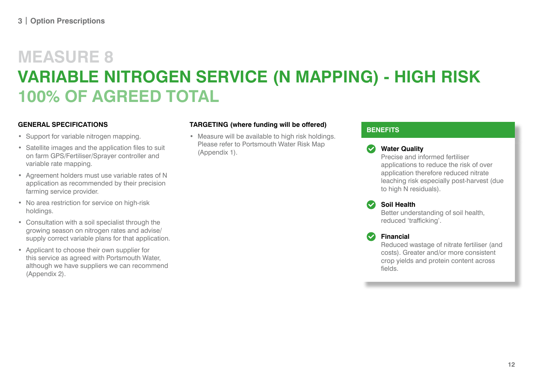# **MEASURE 8 VARIABLE NITROGEN SERVICE (N MAPPING) - HIGH RISK 100% OF AGREED TOTAL**

### **GENERAL SPECIFICATIONS**

- Support for variable nitrogen mapping.
- Satellite images and the application files to suit on farm GPS/Fertiliser/Sprayer controller and variable rate mapping.
- Agreement holders must use variable rates of N application as recommended by their precision farming service provider.
- No area restriction for service on high-risk holdings.
- Consultation with a soil specialist through the growing season on nitrogen rates and advise/ supply correct variable plans for that application.
- Applicant to choose their own supplier for this service as agreed with Portsmouth Water, although we have suppliers we can recommend (Appendix 2).

### **TARGETING (where funding will be offered)**

• Measure will be available to high risk holdings. Please refer to Portsmouth Water Risk Map (Appendix 1).

### **BENEFITS**

### **Water Quality**

Precise and informed fertiliser applications to reduce the risk of over application therefore reduced nitrate leaching risk especially post-harvest (due to high N residuals).

### **Soil Health**

Better understanding of soil health, reduced 'trafficking'.

### **Financial**

Reduced wastage of nitrate fertiliser (and costs). Greater and/or more consistent crop yields and protein content across fields.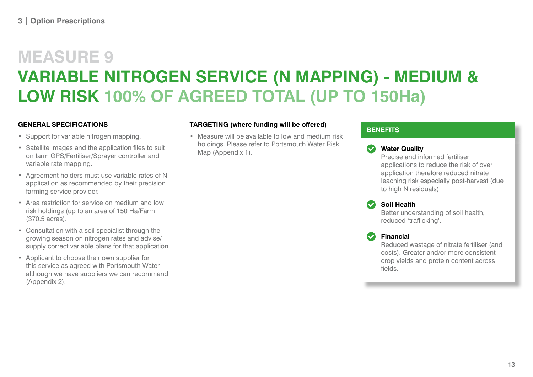# **MEASURE 9 VARIABLE NITROGEN SERVICE (N MAPPING) - MEDIUM & LOW RISK 100% OF AGREED TOTAL (UP TO 150Ha)**

### **GENERAL SPECIFICATIONS**

- Support for variable nitrogen mapping.
- Satellite images and the application files to suit on farm GPS/Fertiliser/Sprayer controller and variable rate mapping.
- Agreement holders must use variable rates of N application as recommended by their precision farming service provider.
- Area restriction for service on medium and low risk holdings (up to an area of 150 Ha/Farm (370.5 acres).
- Consultation with a soil specialist through the growing season on nitrogen rates and advise/ supply correct variable plans for that application.
- Applicant to choose their own supplier for this service as agreed with Portsmouth Water, although we have suppliers we can recommend (Appendix 2).

### **TARGETING (where funding will be offered)**

• Measure will be available to low and medium risk holdings. Please refer to Portsmouth Water Risk Map (Appendix 1).

### **BENEFITS**

### **Water Quality**

Precise and informed fertiliser applications to reduce the risk of over application therefore reduced nitrate leaching risk especially post-harvest (due to high N residuals).

### **Soil Health**

Better understanding of soil health, reduced 'trafficking'.

### **Financial**

Reduced wastage of nitrate fertiliser (and costs). Greater and/or more consistent crop yields and protein content across fields.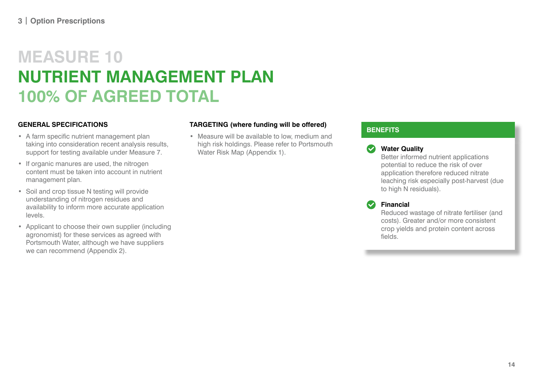## **MEASURE 10 NUTRIENT MANAGEMENT PLAN 100% OF AGREED TOTAL**

### **GENERAL SPECIFICATIONS**

- A farm specific nutrient management plan taking into consideration recent analysis results, support for testing available under Measure 7.
- If organic manures are used, the nitrogen content must be taken into account in nutrient management plan.
- Soil and crop tissue N testing will provide understanding of nitrogen residues and availability to inform more accurate application levels.
- Applicant to choose their own supplier (including agronomist) for these services as agreed with Portsmouth Water, although we have suppliers we can recommend (Appendix 2).

### **TARGETING (where funding will be offered)**

• Measure will be available to low, medium and high risk holdings. Please refer to Portsmouth Water Risk Map (Appendix 1).

### **BENEFITS**

### **Water Quality**

Better informed nutrient applications potential to reduce the risk of over application therefore reduced nitrate leaching risk especially post-harvest (due to high N residuals).

### **Financial**

Reduced wastage of nitrate fertiliser (and costs). Greater and/or more consistent crop yields and protein content across fields.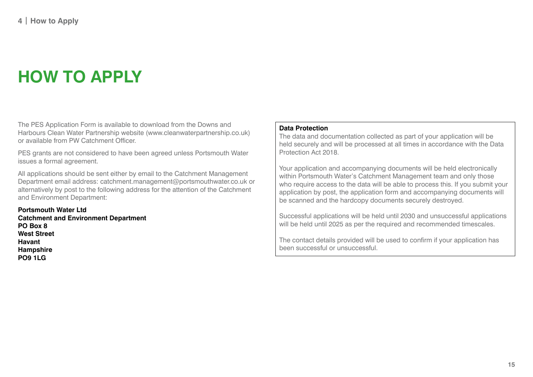# **HOW TO APPLY**

The PES Application Form is available to download from the Downs and Harbours Clean Water Partnership website (www.cleanwaterpartnership.co.uk) or available from PW Catchment Officer.

PES grants are not considered to have been agreed unless Portsmouth Water issues a formal agreement.

All applications should be sent either by email to the Catchment Management Department email address: catchment.management@portsmouthwater.co.uk or alternatively by post to the following address for the attention of the Catchment and Environment Department:

**Portsmouth Water Ltd Catchment and Environment Department PO Box 8 West Street Havant Hampshire PO9 1LG**

#### **Data Protection**

The data and documentation collected as part of your application will be held securely and will be processed at all times in accordance with the Data Protection Act 2018.

Your application and accompanying documents will be held electronically within Portsmouth Water's Catchment Management team and only those who require access to the data will be able to process this. If you submit your application by post, the application form and accompanying documents will be scanned and the hardcopy documents securely destroyed.

Successful applications will be held until 2030 and unsuccessful applications will be held until 2025 as per the required and recommended timescales.

The contact details provided will be used to confirm if your application has been successful or unsuccessful.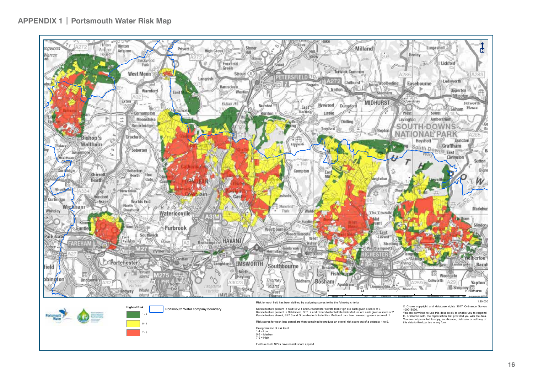



Risk for each field has been defined by assigning scores to the the following criteria:

Karstic feature present in field; SPZ 1 and Groundwater Nitrate Risk High are each given a score of 3 Karstic feature present in Catchment, SPZ 2 and Groundwater Nitrate Risk Medium are each given a score of 2 Karstic feature absent, SPZ 3 and Groundwater Nitrate Risk Medium Low - Low are each given a score of 1.

Risk scores for each land parcel are then combined to produce an overall risk score out of a potential 1 to 9.

Categorisation of risk level: 1-4 = Low 5-6 = Medium

 $7-9 = High$ 

Fields outside SPZs have no risk score applied.

1:80,000

© Crown copyright and database rights 2017 Ordnance Survey 100018036.

You are permitted to use this data solely to enable you to respond to, or interact with, the organisation that provided you with the data. You are not permitted to copy, sub-licence, distribute or sell any of this data to third parties in any form.